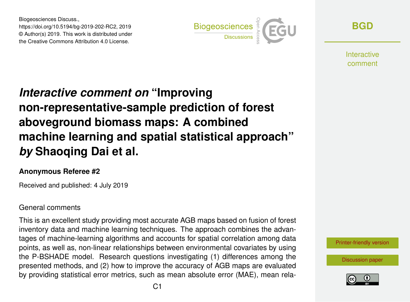Biogeosciences Discuss., https://doi.org/10.5194/bg-2019-202-RC2, 2019 © Author(s) 2019. This work is distributed under the Creative Commons Attribution 4.0 License.



**[BGD](https://www.biogeosciences-discuss.net/)**

**Interactive** comment

# *Interactive comment on* **"Improving non-representative-sample prediction of forest aboveground biomass maps: A combined machine learning and spatial statistical approach"** *by* **Shaoqing Dai et al.**

## **Anonymous Referee #2**

Received and published: 4 July 2019

## General comments

This is an excellent study providing most accurate AGB maps based on fusion of forest inventory data and machine learning techniques. The approach combines the advantages of machine-learning algorithms and accounts for spatial correlation among data points, as well as, non-linear relationships between environmental covariates by using the P-BSHADE model. Research questions investigating (1) differences among the presented methods, and (2) how to improve the accuracy of AGB maps are evaluated by providing statistical error metrics, such as mean absolute error (MAE), mean rela-

[Printer-friendly version](https://www.biogeosciences-discuss.net/bg-2019-202/bg-2019-202-RC2-print.pdf)

[Discussion paper](https://www.biogeosciences-discuss.net/bg-2019-202)

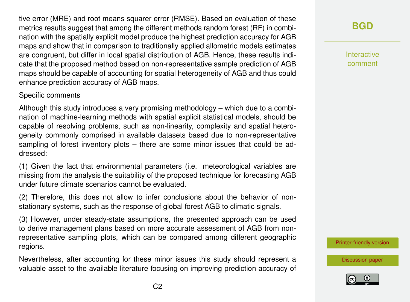tive error (MRE) and root means squarer error (RMSE). Based on evaluation of these metrics results suggest that among the different methods random forest (RF) in combination with the spatially explicit model produce the highest prediction accuracy for AGB maps and show that in comparison to traditionally applied allometric models estimates are congruent, but differ in local spatial distribution of AGB. Hence, these results indicate that the proposed method based on non-representative sample prediction of AGB maps should be capable of accounting for spatial heterogeneity of AGB and thus could enhance prediction accuracy of AGB maps.

#### Specific comments

Although this study introduces a very promising methodology – which due to a combination of machine-learning methods with spatial explicit statistical models, should be capable of resolving problems, such as non-linearity, complexity and spatial heterogeneity commonly comprised in available datasets based due to non-representative sampling of forest inventory plots – there are some minor issues that could be addressed:

(1) Given the fact that environmental parameters (i.e. meteorological variables are missing from the analysis the suitability of the proposed technique for forecasting AGB under future climate scenarios cannot be evaluated.

(2) Therefore, this does not allow to infer conclusions about the behavior of nonstationary systems, such as the response of global forest AGB to climatic signals.

(3) However, under steady-state assumptions, the presented approach can be used to derive management plans based on more accurate assessment of AGB from nonrepresentative sampling plots, which can be compared among different geographic regions.

Nevertheless, after accounting for these minor issues this study should represent a valuable asset to the available literature focusing on improving prediction accuracy of

# **[BGD](https://www.biogeosciences-discuss.net/)**

Interactive comment

[Printer-friendly version](https://www.biogeosciences-discuss.net/bg-2019-202/bg-2019-202-RC2-print.pdf)

[Discussion paper](https://www.biogeosciences-discuss.net/bg-2019-202)